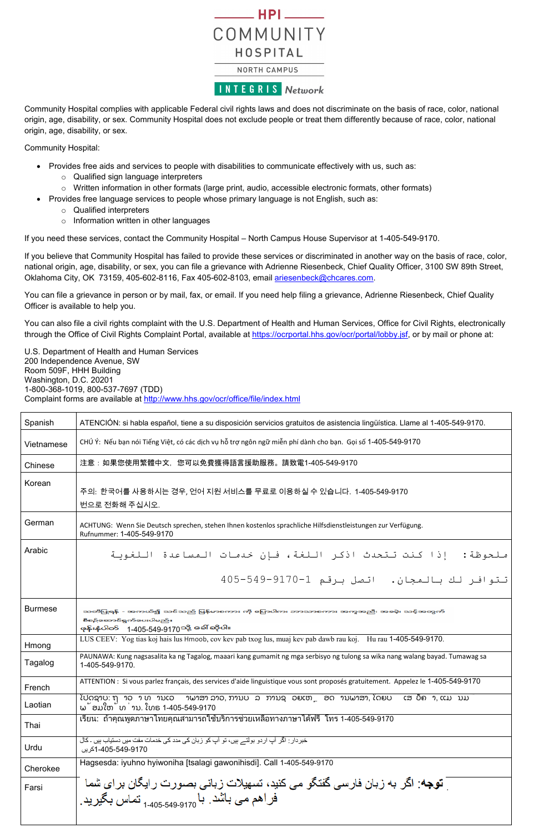## $-$  HPI  $-$ COMMUNITY HOSPITAL

## NORTH CAMPUS

**INTEGRIS Network** 

Community Hospital complies with applicable Federal civil rights laws and does not discriminate on the basis of race, color, national origin, age, disability, or sex. Community Hospital does not exclude people or treat them differently because of race, color, national origin, age, disability, or sex.

Community Hospital:

- Provides free aids and services to people with disabilities to communicate effectively with us, such as:
	- o Qualified sign language interpreters
	- o Written information in other formats (large print, audio, accessible electronic formats, other formats)
- Provides free language services to people whose primary language is not English, such as:
	- o Qualified interpreters
	- o Information written in other languages

You can also file a civil rights complaint with the U.S. Department of Health and Human Services, Office for Civil Rights, electronically through the Office of Civil Rights Complaint Portal, available at [https://ocrportal.hhs.gov/ocr/portal/lobby.jsf,](https://ocrportal.hhs.gov/ocr/portal/lobby.jsf) or by mail or phone at:

If you need these services, contact the Community Hospital – North Campus House Supervisor at 1-405-549-9170.

If you believe that Community Hospital has failed to provide these services or discriminated in another way on the basis of race, color, national origin, age, disability, or sex, you can file a grievance with Adrienne Riesenbeck, Chief Quality Officer, 3100 SW 89th Street, Oklahoma City, OK 73159, 405-602-8116, Fax 405-602-8103, email [ariesenbeck@chcares.com.](mailto:ariesenbeck@chcares.com)

You can file a grievance in person or by mail, fax, or email. If you need help filing a grievance, Adrienne Riesenbeck, Chief Quality Officer is available to help you.

U.S. Department of Health and Human Services 200 Independence Avenue, SW Room 509F, HHH Building Washington, D.C. 20201 1-800-368-1019, 800-537-7697 (TDD) Complaint forms are available at<http://www.hhs.gov/ocr/office/file/index.html>

| Spanish        | ATENCIÓN: si habla español, tiene a su disposición servicios gratuitos de asistencia lingüística. Llame al 1-405-549-9170.                                              |
|----------------|-------------------------------------------------------------------------------------------------------------------------------------------------------------------------|
| Vietnamese     | CHÚ Ý: Nếu bạn nói Tiếng Việt, có các dịch vụ hỗ trợ ngôn ngữ miễn phí dành cho bạn. Gọi số 1-405-549-9170                                                              |
| Chinese        | 注意:如果您使用繁體中文,您可以免費獲得語言援助服務。請致電1-405-549-9170                                                                                                                            |
| Korean         | 주의: 한국어를 사용하시는 경우, 언어 지원 서비스를 무료로 이용하실 수 있습니다. 1-405-549-9170<br>번으로 전화해 주십시오.                                                                                          |
| German         | ACHTUNG: Wenn Sie Deutsch sprechen, stehen Ihnen kostenlos sprachliche Hilfsdienstleistungen zur Verfügung.<br>Rufnummer: 1-405-549-9170                                |
| Arabic         | ملحوظة: إذا كنت تتحدث اذكر اللغة، فإن خدمات المساعدة اللغوية                                                                                                            |
|                | تتوافر لك بالمجان. اتصل برقم 1-9170-549-405                                                                                                                             |
| <b>Burmese</b> | သတိပြုရန် - အကယ်၍ သင်သည် မြန်မာစကား ကို မြောပါက၊ ဘာသာစကား အကူအညီ၊ အစမဲ့၊ သင့်အတွက်<br>စီစဉ်ဆောင်ရွက်ပေးပါမည်။<br>ဖုန်းနံပါတ် 1-405-549-9170 <sup>သို့</sup> ခေါ် ဆိုပါ။ |
| Hmong          | LUS CEEV: Yog tias koj hais lus Hmoob, cov kev pab txog lus, muaj kev pab dawb rau koj. Hu rau 1-405-549-9170.                                                          |
| Tagalog        | PAUNAWA: Kung nagsasalita ka ng Tagalog, maaari kang gumamit ng mga serbisyo ng tulong sa wika nang walang bayad. Tumawag sa<br>1-405-549-9170.                         |
| French         | ATTENTION : Si vous parlez français, des services d'aide linguistique vous sont proposés gratuitement. Appelez le 1-405-549-9170                                        |
| Laotian        | ໂປດຊາບ: ຖ້າວ່າ ທ່ານເວົ້າພາສາ ລາວ, ການບໍລິການຊ່ວຍເຫຼືອດ້ານພາສາ, ໂດຍບໍ່ເສັຽຄ່າ, ແມ່ນມີ<br>ພ້ອມໃຫ້ທ່ານ. ໂທຣ 1-405-549-9170                                                 |
| Thai           | ู้เรียน: ถ้าคุณพูดภาษาไทยคุณสามารถใช้บริการช่วยเหลือทางภาษาได้ฟรี โทร 1-405-549-9170                                                                                    |
| Urdu           | خبر دار : اگر  آپ ار دو  بولتـــر بیں، تو  آپ کو  زبان کی مدد کی خدمات مفت میں دستیاب ہیں ۔ کال<br>1-405-549-9170كريں                                                   |
| Cherokee       | Hagsesda: iyuhno hyiwoniha [tsalagi gawonihisdi]. Call 1-405-549-9170                                                                                                   |
| Farsi          | <b>توجه</b> : اگر به زبان فارسی گفتگو می کنید، تسهیلات زبانی بصورت رایگان برای شما<br>فراهم می باشد. با <sub>1-405-549-9170</sub> تماس بگیرید.                          |